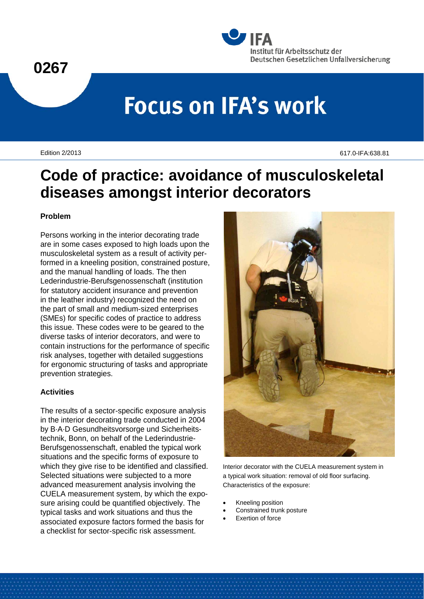



# **Focus on IFA's work**

Edition 2/2013 617.0-IFA:638.81

# **Code of practice: avoidance of musculoskeletal diseases amongst interior decorators**

### **Problem**

Persons working in the interior decorating trade are in some cases exposed to high loads upon the musculoskeletal system as a result of activity performed in a kneeling position, constrained posture, and the manual handling of loads. The then Lederindustrie-Berufsgenossenschaft (institution for statutory accident insurance and prevention in the leather industry) recognized the need on the part of small and medium-sized enterprises (SMEs) for specific codes of practice to address this issue. These codes were to be geared to the diverse tasks of interior decorators, and were to contain instructions for the performance of specific risk analyses, together with detailed suggestions for ergonomic structuring of tasks and appropriate prevention strategies.

#### **Activities**

The results of a sector-specific exposure analysis in the interior decorating trade conducted in 2004 by B·A·D Gesundheitsvorsorge und Sicherheitstechnik, Bonn, on behalf of the Lederindustrie-Berufsgenossenschaft, enabled the typical work situations and the specific forms of exposure to which they give rise to be identified and classified. Selected situations were subjected to a more advanced measurement analysis involving the CUELA measurement system, by which the exposure arising could be quantified objectively. The typical tasks and work situations and thus the associated exposure factors formed the basis for a checklist for sector-specific risk assessment.



Interior decorator with the CUELA measurement system in a typical work situation: removal of old floor surfacing. Characteristics of the exposure:

- Kneeling position
- Constrained trunk posture
- Exertion of force